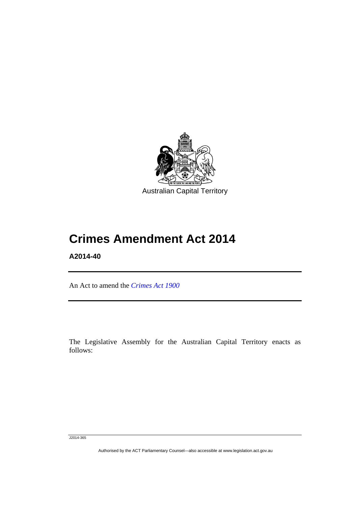

# **Crimes Amendment Act 2014**

**A2014-40** 

Ī

An Act to amend the *[Crimes Act 1900](http://www.legislation.act.gov.au/a/1900-40)*

The Legislative Assembly for the Australian Capital Territory enacts as follows:

J2014-365

Authorised by the ACT Parliamentary Counsel—also accessible at www.legislation.act.gov.au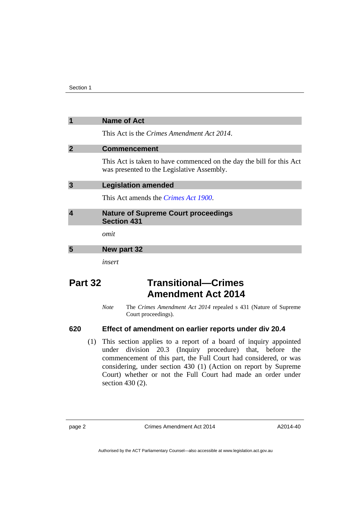| $\overline{\mathbf{1}}$ | <b>Name of Act</b>                                                                                                 |
|-------------------------|--------------------------------------------------------------------------------------------------------------------|
|                         | This Act is the <i>Crimes Amendment Act 2014</i> .                                                                 |
| $\overline{2}$          | <b>Commencement</b>                                                                                                |
|                         | This Act is taken to have commenced on the day the bill for this Act<br>was presented to the Legislative Assembly. |
| $\overline{3}$          | <b>Legislation amended</b>                                                                                         |
|                         | This Act amends the <i>Crimes Act 1900</i> .                                                                       |
| $\overline{\mathbf{4}}$ | <b>Nature of Supreme Court proceedings</b><br><b>Section 431</b>                                                   |
|                         | omit                                                                                                               |
| 5                       | New part 32                                                                                                        |
|                         | insert                                                                                                             |

## **Part 32 Transitional—Crimes Amendment Act 2014**

*Note* The *Crimes Amendment Act 2014* repealed s 431 (Nature of Supreme Court proceedings).

### **620 Effect of amendment on earlier reports under div 20.4**

 (1) This section applies to a report of a board of inquiry appointed under division 20.3 (Inquiry procedure) that, before the commencement of this part, the Full Court had considered, or was considering, under section 430 (1) (Action on report by Supreme Court) whether or not the Full Court had made an order under section 430 (2).

page 2 Crimes Amendment Act 2014

A2014-40